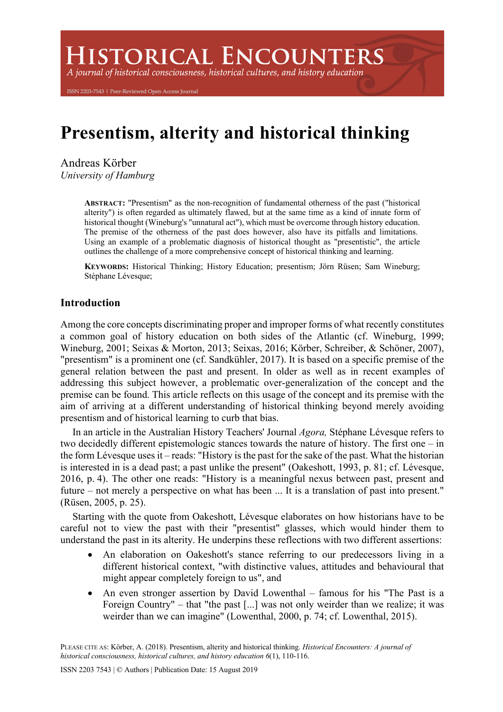**ISTORICAL ENCOUNTERS** 

A journal of historical consciousness, historical cultures, and history education

ISSN 2203-7543 | Peer-Reviewed Open Access Journal

# **Presentism, alterity and historical thinking**

Andreas Körber *University of Hamburg*

> **ABSTRACT:** "Presentism" as the non-recognition of fundamental otherness of the past ("historical alterity") is often regarded as ultimately flawed, but at the same time as a kind of innate form of historical thought (Wineburg's "unnatural act"), which must be overcome through history education. The premise of the otherness of the past does however, also have its pitfalls and limitations. Using an example of a problematic diagnosis of historical thought as "presentistic", the article outlines the challenge of a more comprehensive concept of historical thinking and learning.

> **KEYWORDS:** Historical Thinking; History Education; presentism; Jörn Rüsen; Sam Wineburg; Stéphane Lévesque;

## **Introduction**

Among the core concepts discriminating proper and improper forms of what recently constitutes a common goal of history education on both sides of the Atlantic (cf. Wineburg, 1999; Wineburg, 2001; Seixas & Morton, 2013; Seixas, 2016; Körber, Schreiber, & Schöner, 2007), "presentism" is a prominent one (cf. Sandkühler, 2017). It is based on a specific premise of the general relation between the past and present. In older as well as in recent examples of addressing this subject however, a problematic over-generalization of the concept and the premise can be found. This article reflects on this usage of the concept and its premise with the aim of arriving at a different understanding of historical thinking beyond merely avoiding presentism and of historical learning to curb that bias.

In an article in the Australian History Teachers' Journal *Agora,* Stéphane Lévesque refers to two decidedly different epistemologic stances towards the nature of history. The first one – in the form Lévesque uses it – reads: "History is the past for the sake of the past. What the historian is interested in is a dead past; a past unlike the present" (Oakeshott, 1993, p. 81; cf. Lévesque, 2016, p. 4). The other one reads: "History is a meaningful nexus between past, present and future – not merely a perspective on what has been ... It is a translation of past into present." (Rüsen, 2005, p. 25).

Starting with the quote from Oakeshott, Lévesque elaborates on how historians have to be careful not to view the past with their "presentist" glasses, which would hinder them to understand the past in its alterity. He underpins these reflections with two different assertions:

- An elaboration on Oakeshott's stance referring to our predecessors living in a different historical context, "with distinctive values, attitudes and behavioural that might appear completely foreign to us", and
- An even stronger assertion by David Lowenthal famous for his "The Past is a Foreign Country" – that "the past [...] was not only weirder than we realize; it was weirder than we can imagine" (Lowenthal, 2000, p. 74; cf. Lowenthal, 2015).

PLEASE CITE AS: Körber, A. (2018). Presentism, alterity and historical thinking. *Historical Encounters: A journal of historical consciousness, historical cultures, and history education 6*(1), 110-116.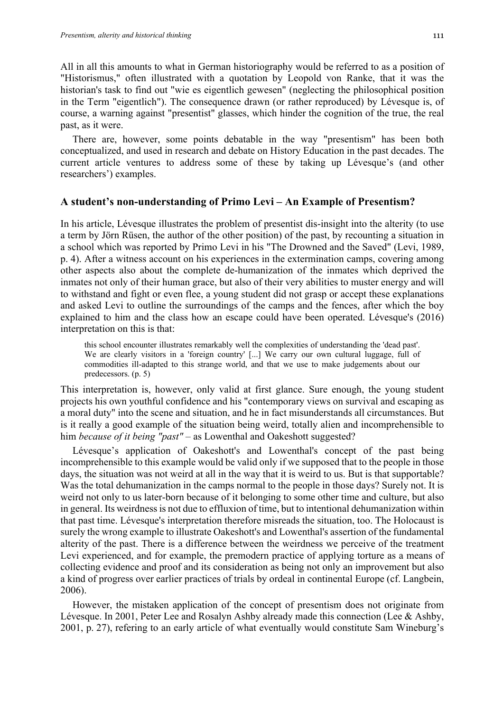All in all this amounts to what in German historiography would be referred to as a position of "Historismus," often illustrated with a quotation by Leopold von Ranke, that it was the historian's task to find out "wie es eigentlich gewesen" (neglecting the philosophical position in the Term "eigentlich"). The consequence drawn (or rather reproduced) by Lévesque is, of course, a warning against "presentist" glasses, which hinder the cognition of the true, the real past, as it were.

There are, however, some points debatable in the way "presentism" has been both conceptualized, and used in research and debate on History Education in the past decades. The current article ventures to address some of these by taking up Lévesque's (and other researchers') examples.

#### **A student's non-understanding of Primo Levi – An Example of Presentism?**

In his article, Lévesque illustrates the problem of presentist dis-insight into the alterity (to use a term by Jörn Rüsen, the author of the other position) of the past, by recounting a situation in a school which was reported by Primo Levi in his "The Drowned and the Saved" (Levi, 1989, p. 4). After a witness account on his experiences in the extermination camps, covering among other aspects also about the complete de-humanization of the inmates which deprived the inmates not only of their human grace, but also of their very abilities to muster energy and will to withstand and fight or even flee, a young student did not grasp or accept these explanations and asked Levi to outline the surroundings of the camps and the fences, after which the boy explained to him and the class how an escape could have been operated. Lévesque's (2016) interpretation on this is that:

this school encounter illustrates remarkably well the complexities of understanding the 'dead past'. We are clearly visitors in a 'foreign country' [...] We carry our own cultural luggage, full of commodities ill-adapted to this strange world, and that we use to make judgements about our predecessors. (p. 5)

This interpretation is, however, only valid at first glance. Sure enough, the young student projects his own youthful confidence and his "contemporary views on survival and escaping as a moral duty" into the scene and situation, and he in fact misunderstands all circumstances. But is it really a good example of the situation being weird, totally alien and incomprehensible to him *because of it being "past"* – as Lowenthal and Oakeshott suggested?

Lévesque's application of Oakeshott's and Lowenthal's concept of the past being incomprehensible to this example would be valid only if we supposed that to the people in those days, the situation was not weird at all in the way that it is weird to us. But is that supportable? Was the total dehumanization in the camps normal to the people in those days? Surely not. It is weird not only to us later-born because of it belonging to some other time and culture, but also in general. Its weirdness is not due to effluxion of time, but to intentional dehumanization within that past time. Lévesque's interpretation therefore misreads the situation, too. The Holocaust is surely the wrong example to illustrate Oakeshott's and Lowenthal's assertion of the fundamental alterity of the past. There is a difference between the weirdness we perceive of the treatment Levi experienced, and for example, the premodern practice of applying torture as a means of collecting evidence and proof and its consideration as being not only an improvement but also a kind of progress over earlier practices of trials by ordeal in continental Europe (cf. Langbein, 2006).

However, the mistaken application of the concept of presentism does not originate from Lévesque. In 2001, Peter Lee and Rosalyn Ashby already made this connection (Lee & Ashby, 2001, p. 27), refering to an early article of what eventually would constitute Sam Wineburg's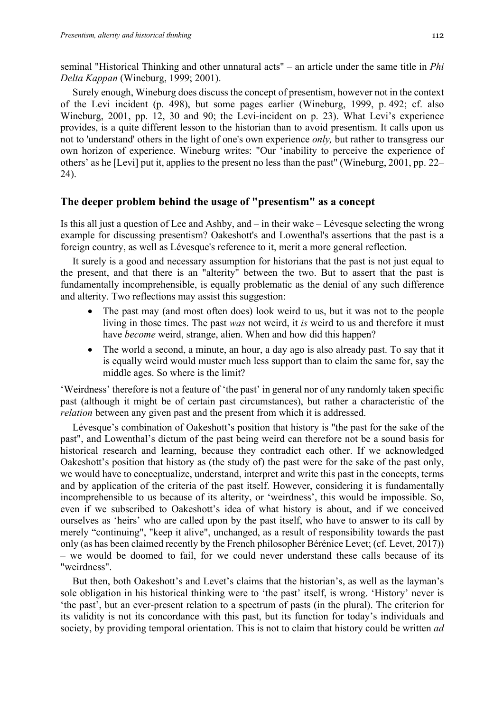seminal "Historical Thinking and other unnatural acts" – an article under the same title in *Phi Delta Kappan* (Wineburg, 1999; 2001).

Surely enough, Wineburg does discuss the concept of presentism, however not in the context of the Levi incident (p. 498), but some pages earlier (Wineburg, 1999, p. 492; cf. also Wineburg, 2001, pp. 12, 30 and 90; the Levi-incident on p. 23). What Levi's experience provides, is a quite different lesson to the historian than to avoid presentism. It calls upon us not to 'understand' others in the light of one's own experience *only,* but rather to transgress our own horizon of experience. Wineburg writes: "Our 'inability to perceive the experience of others' as he [Levi] put it, applies to the present no less than the past" (Wineburg, 2001, pp. 22– 24).

### **The deeper problem behind the usage of "presentism" as a concept**

Is this all just a question of Lee and Ashby, and – in their wake – Lévesque selecting the wrong example for discussing presentism? Oakeshott's and Lowenthal's assertions that the past is a foreign country, as well as Lévesque's reference to it, merit a more general reflection.

It surely is a good and necessary assumption for historians that the past is not just equal to the present, and that there is an "alterity" between the two. But to assert that the past is fundamentally incomprehensible, is equally problematic as the denial of any such difference and alterity. Two reflections may assist this suggestion:

- The past may (and most often does) look weird to us, but it was not to the people living in those times. The past *was* not weird, it *is* weird to us and therefore it must have *become* weird, strange, alien. When and how did this happen?
- The world a second, a minute, an hour, a day ago is also already past. To say that it is equally weird would muster much less support than to claim the same for, say the middle ages. So where is the limit?

'Weirdness' therefore is not a feature of 'the past' in general nor of any randomly taken specific past (although it might be of certain past circumstances), but rather a characteristic of the *relation* between any given past and the present from which it is addressed.

Lévesque's combination of Oakeshott's position that history is "the past for the sake of the past", and Lowenthal's dictum of the past being weird can therefore not be a sound basis for historical research and learning, because they contradict each other. If we acknowledged Oakeshott's position that history as (the study of) the past were for the sake of the past only, we would have to conceptualize, understand, interpret and write this past in the concepts, terms and by application of the criteria of the past itself. However, considering it is fundamentally incomprehensible to us because of its alterity, or 'weirdness', this would be impossible. So, even if we subscribed to Oakeshott's idea of what history is about, and if we conceived ourselves as 'heirs' who are called upon by the past itself, who have to answer to its call by merely "continuing", "keep it alive", unchanged, as a result of responsibility towards the past only (as has been claimed recently by the French philosopher Bérénice Levet; (cf. Levet, 2017)) – we would be doomed to fail, for we could never understand these calls because of its "weirdness".

But then, both Oakeshott's and Levet's claims that the historian's, as well as the layman's sole obligation in his historical thinking were to 'the past' itself, is wrong. 'History' never is 'the past', but an ever-present relation to a spectrum of pasts (in the plural). The criterion for its validity is not its concordance with this past, but its function for today's individuals and society, by providing temporal orientation. This is not to claim that history could be written *ad*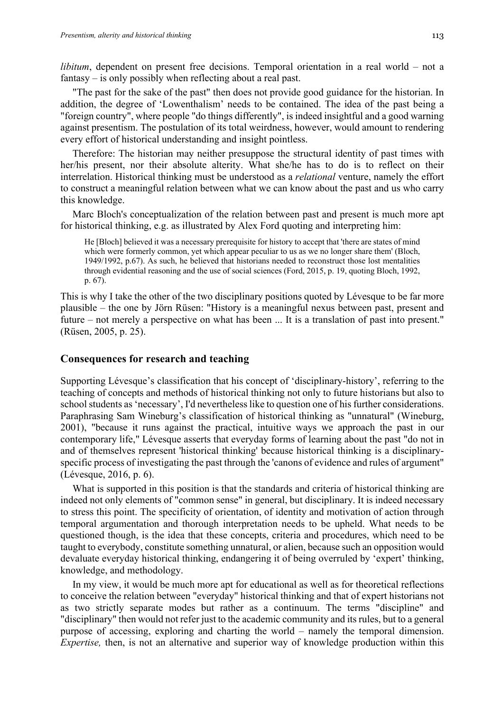*libitum*, dependent on present free decisions. Temporal orientation in a real world – not a fantasy – is only possibly when reflecting about a real past.

"The past for the sake of the past" then does not provide good guidance for the historian. In addition, the degree of 'Lowenthalism' needs to be contained. The idea of the past being a "foreign country", where people "do things differently", is indeed insightful and a good warning against presentism. The postulation of its total weirdness, however, would amount to rendering every effort of historical understanding and insight pointless.

Therefore: The historian may neither presuppose the structural identity of past times with her/his present, nor their absolute alterity. What she/he has to do is to reflect on their interrelation. Historical thinking must be understood as a *relational* venture, namely the effort to construct a meaningful relation between what we can know about the past and us who carry this knowledge.

Marc Bloch's conceptualization of the relation between past and present is much more apt for historical thinking, e.g. as illustrated by Alex Ford quoting and interpreting him:

He [Bloch] believed it was a necessary prerequisite for history to accept that 'there are states of mind which were formerly common, yet which appear peculiar to us as we no longer share them' (Bloch, 1949/1992, p.67). As such, he believed that historians needed to reconstruct those lost mentalities through evidential reasoning and the use of social sciences (Ford, 2015, p. 19, quoting Bloch, 1992, p. 67).

This is why I take the other of the two disciplinary positions quoted by Lévesque to be far more plausible – the one by Jörn Rüsen: "History is a meaningful nexus between past, present and future – not merely a perspective on what has been ... It is a translation of past into present." (Rüsen, 2005, p. 25).

### **Consequences for research and teaching**

Supporting Lévesque's classification that his concept of 'disciplinary-history', referring to the teaching of concepts and methods of historical thinking not only to future historians but also to school students as 'necessary', I'd nevertheless like to question one of his further considerations. Paraphrasing Sam Wineburg's classification of historical thinking as "unnatural" (Wineburg, 2001), "because it runs against the practical, intuitive ways we approach the past in our contemporary life," Lévesque asserts that everyday forms of learning about the past "do not in and of themselves represent 'historical thinking' because historical thinking is a disciplinaryspecific process of investigating the past through the 'canons of evidence and rules of argument" (Lévesque, 2016, p. 6).

What is supported in this position is that the standards and criteria of historical thinking are indeed not only elements of "common sense" in general, but disciplinary. It is indeed necessary to stress this point. The specificity of orientation, of identity and motivation of action through temporal argumentation and thorough interpretation needs to be upheld. What needs to be questioned though, is the idea that these concepts, criteria and procedures, which need to be taught to everybody, constitute something unnatural, or alien, because such an opposition would devaluate everyday historical thinking, endangering it of being overruled by 'expert' thinking, knowledge, and methodology.

In my view, it would be much more apt for educational as well as for theoretical reflections to conceive the relation between "everyday" historical thinking and that of expert historians not as two strictly separate modes but rather as a continuum. The terms "discipline" and "disciplinary" then would not refer just to the academic community and its rules, but to a general purpose of accessing, exploring and charting the world – namely the temporal dimension. *Expertise,* then, is not an alternative and superior way of knowledge production within this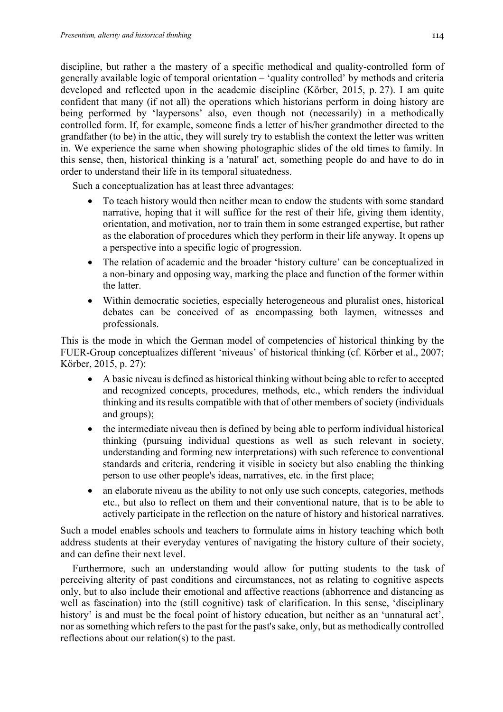discipline, but rather a the mastery of a specific methodical and quality-controlled form of generally available logic of temporal orientation – 'quality controlled' by methods and criteria developed and reflected upon in the academic discipline (Körber, 2015, p. 27). I am quite confident that many (if not all) the operations which historians perform in doing history are being performed by 'laypersons' also, even though not (necessarily) in a methodically controlled form. If, for example, someone finds a letter of his/her grandmother directed to the grandfather (to be) in the attic, they will surely try to establish the context the letter was written in. We experience the same when showing photographic slides of the old times to family. In this sense, then, historical thinking is a 'natural' act, something people do and have to do in order to understand their life in its temporal situatedness.

Such a conceptualization has at least three advantages:

- To teach history would then neither mean to endow the students with some standard narrative, hoping that it will suffice for the rest of their life, giving them identity, orientation, and motivation, nor to train them in some estranged expertise, but rather as the elaboration of procedures which they perform in their life anyway. It opens up a perspective into a specific logic of progression.
- The relation of academic and the broader 'history culture' can be conceptualized in a non-binary and opposing way, marking the place and function of the former within the latter.
- Within democratic societies, especially heterogeneous and pluralist ones, historical debates can be conceived of as encompassing both laymen, witnesses and professionals.

This is the mode in which the German model of competencies of historical thinking by the FUER-Group conceptualizes different 'niveaus' of historical thinking (cf. Körber et al., 2007; Körber, 2015, p. 27):

- A basic niveau is defined as historical thinking without being able to refer to accepted and recognized concepts, procedures, methods, etc., which renders the individual thinking and its results compatible with that of other members of society (individuals and groups);
- the intermediate niveau then is defined by being able to perform individual historical thinking (pursuing individual questions as well as such relevant in society, understanding and forming new interpretations) with such reference to conventional standards and criteria, rendering it visible in society but also enabling the thinking person to use other people's ideas, narratives, etc. in the first place;
- an elaborate niveau as the ability to not only use such concepts, categories, methods etc., but also to reflect on them and their conventional nature, that is to be able to actively participate in the reflection on the nature of history and historical narratives.

Such a model enables schools and teachers to formulate aims in history teaching which both address students at their everyday ventures of navigating the history culture of their society, and can define their next level.

Furthermore, such an understanding would allow for putting students to the task of perceiving alterity of past conditions and circumstances, not as relating to cognitive aspects only, but to also include their emotional and affective reactions (abhorrence and distancing as well as fascination) into the (still cognitive) task of clarification. In this sense, 'disciplinary history' is and must be the focal point of history education, but neither as an 'unnatural act', nor as something which refers to the past for the past's sake, only, but as methodically controlled reflections about our relation(s) to the past.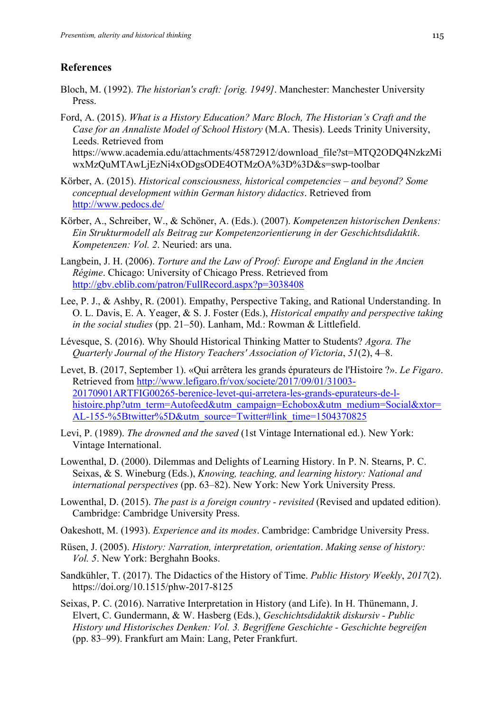## **References**

- Bloch, M. (1992). *The historian's craft: [orig. 1949]*. Manchester: Manchester University Press.
- Ford, A. (2015). *What is a History Education? Marc Bloch, The Historian's Craft and the Case for an Annaliste Model of School History* (M.A. Thesis). Leeds Trinity University, Leeds. Retrieved from https://www.academia.edu/attachments/45872912/download\_file?st=MTQ2ODQ4NzkzMi wxMzQuMTAwLjEzNi4xODgsODE4OTMzOA%3D%3D&s=swp-toolbar
- Körber, A. (2015). *Historical consciousness, historical competencies – and beyond? Some conceptual development within German history didactics*. Retrieved from http://www.pedocs.de/
- Körber, A., Schreiber, W., & Schöner, A. (Eds.). (2007). *Kompetenzen historischen Denkens: Ein Strukturmodell als Beitrag zur Kompetenzorientierung in der Geschichtsdidaktik*. *Kompetenzen: Vol. 2*. Neuried: ars una.
- Langbein, J. H. (2006). *Torture and the Law of Proof: Europe and England in the Ancien Régime*. Chicago: University of Chicago Press. Retrieved from http://gbv.eblib.com/patron/FullRecord.aspx?p=3038408
- Lee, P. J., & Ashby, R. (2001). Empathy, Perspective Taking, and Rational Understanding. In O. L. Davis, E. A. Yeager, & S. J. Foster (Eds.), *Historical empathy and perspective taking in the social studies* (pp. 21–50). Lanham, Md.: Rowman & Littlefield.
- Lévesque, S. (2016). Why Should Historical Thinking Matter to Students? *Agora. The Quarterly Journal of the History Teachers' Association of Victoria*, *51*(2), 4–8.
- Levet, B. (2017, September 1). «Qui arrêtera les grands épurateurs de l'Histoire ?». *Le Figaro*. Retrieved from http://www.lefigaro.fr/vox/societe/2017/09/01/31003- 20170901ARTFIG00265-berenice-levet-qui-arretera-les-grands-epurateurs-de-lhistoire.php?utm\_term=Autofeed&utm\_campaign=Echobox&utm\_medium=Social&xtor= AL-155-%5Btwitter%5D&utm\_source=Twitter#link\_time=1504370825
- Levi, P. (1989). *The drowned and the saved* (1st Vintage International ed.). New York: Vintage International.
- Lowenthal, D. (2000). Dilemmas and Delights of Learning History. In P. N. Stearns, P. C. Seixas, & S. Wineburg (Eds.), *Knowing, teaching, and learning history: National and international perspectives* (pp. 63–82). New York: New York University Press.
- Lowenthal, D. (2015). *The past is a foreign country - revisited* (Revised and updated edition). Cambridge: Cambridge University Press.
- Oakeshott, M. (1993). *Experience and its modes*. Cambridge: Cambridge University Press.
- Rüsen, J. (2005). *History: Narration, interpretation, orientation*. *Making sense of history: Vol. 5*. New York: Berghahn Books.
- Sandkühler, T. (2017). The Didactics of the History of Time. *Public History Weekly*, *2017*(2). https://doi.org/10.1515/phw-2017-8125
- Seixas, P. C. (2016). Narrative Interpretation in History (and Life). In H. Thünemann, J. Elvert, C. Gundermann, & W. Hasberg (Eds.), *Geschichtsdidaktik diskursiv - Public History und Historisches Denken: Vol. 3. Begriffene Geschichte - Geschichte begreifen*  (pp. 83–99). Frankfurt am Main: Lang, Peter Frankfurt.